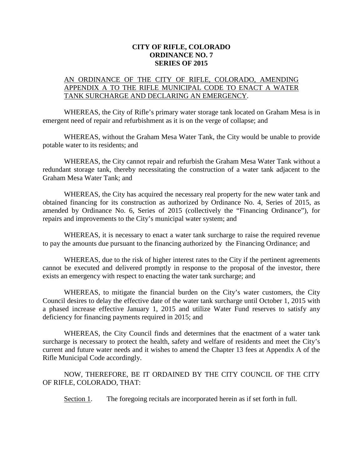## **CITY OF RIFLE, COLORADO ORDINANCE NO. 7 SERIES OF 2015**

## AN ORDINANCE OF THE CITY OF RIFLE, COLORADO, AMENDING APPENDIX A TO THE RIFLE MUNICIPAL CODE TO ENACT A WATER TANK SURCHARGE AND DECLARING AN EMERGENCY.

WHEREAS, the City of Rifle's primary water storage tank located on Graham Mesa is in emergent need of repair and refurbishment as it is on the verge of collapse; and

WHEREAS, without the Graham Mesa Water Tank, the City would be unable to provide potable water to its residents; and

WHEREAS, the City cannot repair and refurbish the Graham Mesa Water Tank without a redundant storage tank, thereby necessitating the construction of a water tank adjacent to the Graham Mesa Water Tank; and

WHEREAS, the City has acquired the necessary real property for the new water tank and obtained financing for its construction as authorized by Ordinance No. 4, Series of 2015, as amended by Ordinance No. 6, Series of 2015 (collectively the "Financing Ordinance"), for repairs and improvements to the City's municipal water system; and

WHEREAS, it is necessary to enact a water tank surcharge to raise the required revenue to pay the amounts due pursuant to the financing authorized by the Financing Ordinance; and

WHEREAS, due to the risk of higher interest rates to the City if the pertinent agreements cannot be executed and delivered promptly in response to the proposal of the investor, there exists an emergency with respect to enacting the water tank surcharge; and

WHEREAS, to mitigate the financial burden on the City's water customers, the City Council desires to delay the effective date of the water tank surcharge until October 1, 2015 with a phased increase effective January 1, 2015 and utilize Water Fund reserves to satisfy any deficiency for financing payments required in 2015; and

WHEREAS, the City Council finds and determines that the enactment of a water tank surcharge is necessary to protect the health, safety and welfare of residents and meet the City's current and future water needs and it wishes to amend the Chapter 13 fees at Appendix A of the Rifle Municipal Code accordingly.

NOW, THEREFORE, BE IT ORDAINED BY THE CITY COUNCIL OF THE CITY OF RIFLE, COLORADO, THAT:

Section 1. The foregoing recitals are incorporated herein as if set forth in full.